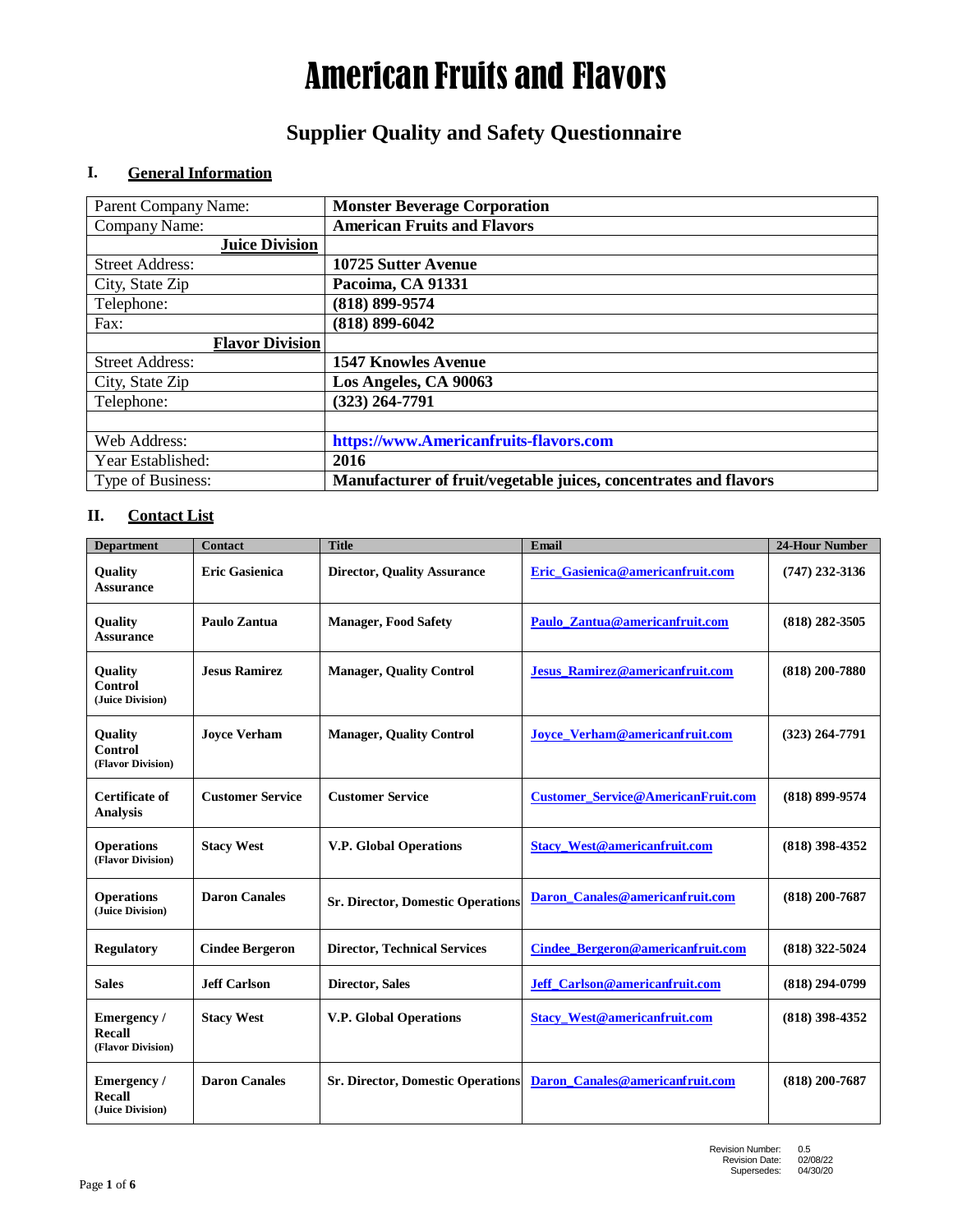## **Supplier Quality and Safety Questionnaire**

### **I. General Information**

| Parent Company Name:   | <b>Monster Beverage Corporation</b>                              |
|------------------------|------------------------------------------------------------------|
| Company Name:          | <b>American Fruits and Flavors</b>                               |
| <b>Juice Division</b>  |                                                                  |
| <b>Street Address:</b> | 10725 Sutter Avenue                                              |
| City, State Zip        | Pacoima, CA 91331                                                |
| Telephone:             | $(818) 899 - 9574$                                               |
| Fax:                   | $(818) 899 - 6042$                                               |
| <b>Flavor Division</b> |                                                                  |
| <b>Street Address:</b> | <b>1547 Knowles Avenue</b>                                       |
| City, State Zip        | Los Angeles, CA 90063                                            |
| Telephone:             | $(323)$ 264-7791                                                 |
|                        |                                                                  |
| Web Address:           | https://www.Americanfruits-flavors.com                           |
| Year Established:      | 2016                                                             |
| Type of Business:      | Manufacturer of fruit/vegetable juices, concentrates and flavors |

#### **II. Contact List**

| <b>Department</b>                                    | <b>Contact</b>          | <b>Title</b>                             | Email                                     | <b>24-Hour Number</b> |
|------------------------------------------------------|-------------------------|------------------------------------------|-------------------------------------------|-----------------------|
| Quality<br><b>Assurance</b>                          | <b>Eric Gasienica</b>   | <b>Director, Quality Assurance</b>       | Eric Gasienica@americanfruit.com          | $(747)$ 232-3136      |
| Quality<br><b>Assurance</b>                          | Paulo Zantua            | <b>Manager, Food Safety</b>              | Paulo Zantua@americanfruit.com            | $(818)$ 282-3505      |
| <b>Quality</b><br><b>Control</b><br>(Juice Division) | <b>Jesus Ramirez</b>    | <b>Manager, Quality Control</b>          | <b>Jesus Ramirez@americanfruit.com</b>    | $(818) 200 - 7880$    |
| Quality<br>Control<br>(Flavor Division)              | <b>Joyce Verham</b>     | <b>Manager, Quality Control</b>          | <b>Joyce Verham@americanfruit.com</b>     | $(323)$ 264-7791      |
| Certificate of<br><b>Analysis</b>                    | <b>Customer Service</b> | <b>Customer Service</b>                  | <b>Customer Service@AmericanFruit.com</b> | (818) 899-9574        |
| <b>Operations</b><br>(Flavor Division)               | <b>Stacy West</b>       | <b>V.P. Global Operations</b>            | <b>Stacy West@americanfruit.com</b>       | $(818)$ 398-4352      |
| <b>Operations</b><br>(Juice Division)                | <b>Daron Canales</b>    | <b>Sr. Director, Domestic Operations</b> | Daron Canales@americanfruit.com           | $(818) 200 - 7687$    |
| <b>Regulatory</b>                                    | <b>Cindee Bergeron</b>  | <b>Director, Technical Services</b>      | Cindee Bergeron@americanfruit.com         | $(818)$ 322-5024      |
| <b>Sales</b>                                         | <b>Jeff Carlson</b>     | <b>Director, Sales</b>                   | <b>Jeff</b> Carlson@americanfruit.com     | $(818)$ 294-0799      |
| Emergency /<br><b>Recall</b><br>(Flavor Division)    | <b>Stacy West</b>       | <b>V.P. Global Operations</b>            | <b>Stacy_West@americanfruit.com</b>       | $(818)$ 398-4352      |
| Emergency/<br><b>Recall</b><br>(Juice Division)      | <b>Daron Canales</b>    | <b>Sr. Director, Domestic Operations</b> | Daron Canales@americanfruit.com           | $(818) 200 - 7687$    |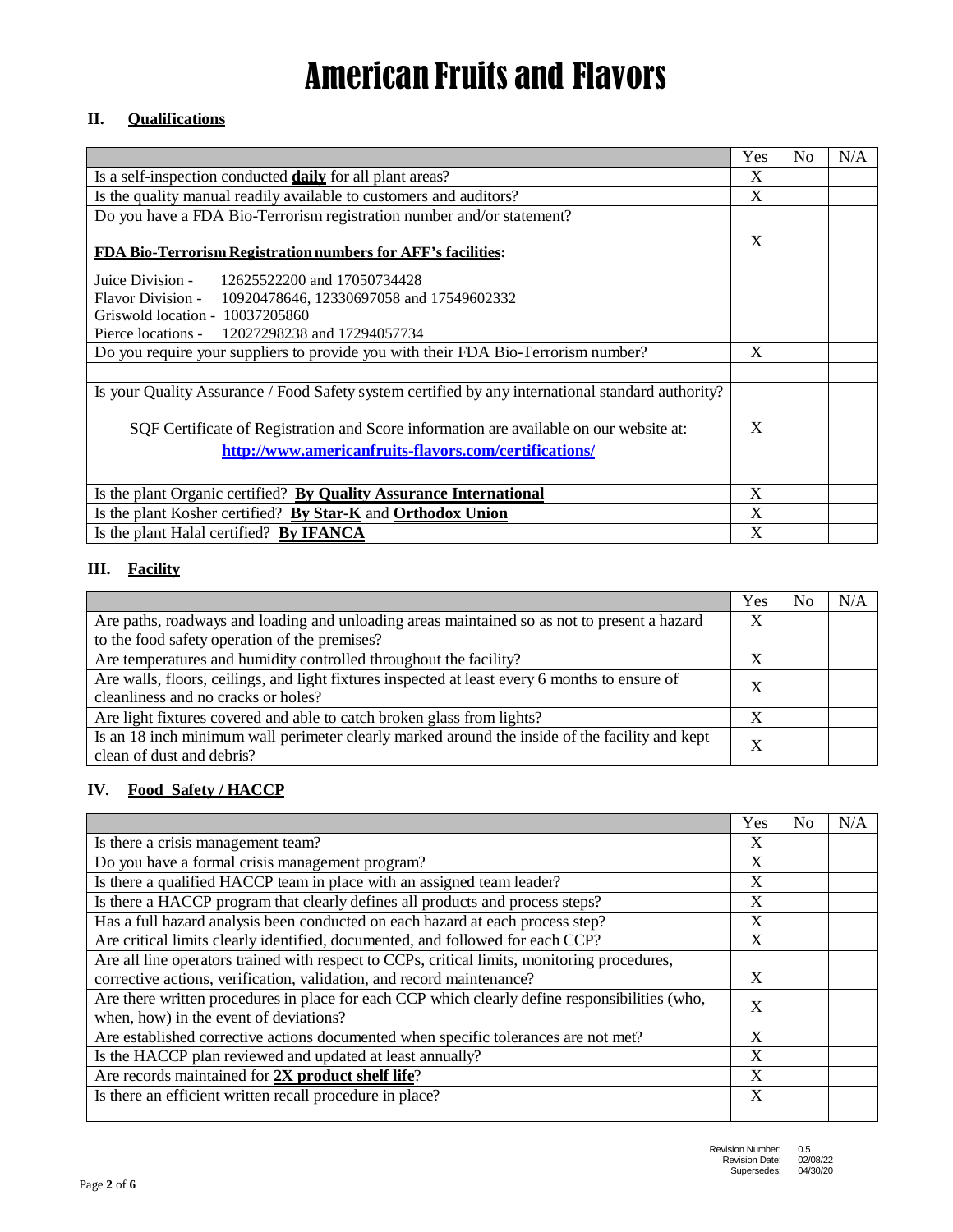#### **II. Qualifications**

|                                                                                                   | Yes         | N <sub>o</sub> | N/A |
|---------------------------------------------------------------------------------------------------|-------------|----------------|-----|
| Is a self-inspection conducted <b>daily</b> for all plant areas?                                  | $\mathbf x$ |                |     |
| Is the quality manual readily available to customers and auditors?                                | X           |                |     |
| Do you have a FDA Bio-Terrorism registration number and/or statement?                             |             |                |     |
| <b>FDA Bio-Terrorism Registration numbers for AFF's facilities:</b>                               |             |                |     |
| Juice Division - 12625522200 and 17050734428                                                      |             |                |     |
| Flavor Division - 10920478646, 12330697058 and 17549602332                                        |             |                |     |
| Griswold location - 10037205860                                                                   |             |                |     |
| Pierce locations - 12027298238 and 17294057734                                                    |             |                |     |
| Do you require your suppliers to provide you with their FDA Bio-Terrorism number?                 | X           |                |     |
|                                                                                                   |             |                |     |
| Is your Quality Assurance / Food Safety system certified by any international standard authority? |             |                |     |
| SQF Certificate of Registration and Score information are available on our website at:            | $\mathbf x$ |                |     |
| http://www.americanfruits-flavors.com/certifications/                                             |             |                |     |
| Is the plant Organic certified? By Quality Assurance International                                | X           |                |     |
| Is the plant Kosher certified? By Star-K and Orthodox Union                                       | X           |                |     |
| Is the plant Halal certified? By IFANCA                                                           | X           |                |     |

### **III. Facility**

|                                                                                                                             | Yes | No | N/A |
|-----------------------------------------------------------------------------------------------------------------------------|-----|----|-----|
| Are paths, roadways and loading and unloading areas maintained so as not to present a hazard                                | X   |    |     |
| to the food safety operation of the premises?                                                                               |     |    |     |
| Are temperatures and humidity controlled throughout the facility?                                                           | X   |    |     |
| Are walls, floors, ceilings, and light fixtures inspected at least every 6 months to ensure of                              | X   |    |     |
| cleanliness and no cracks or holes?                                                                                         |     |    |     |
| Are light fixtures covered and able to catch broken glass from lights?                                                      | ◥   |    |     |
| Is an 18 inch minimum wall perimeter clearly marked around the inside of the facility and kept<br>clean of dust and debris? | X   |    |     |

#### **IV. Food Safety / HACCP**

|                                                                                                | Yes | N <sub>0</sub> | N/A |
|------------------------------------------------------------------------------------------------|-----|----------------|-----|
| Is there a crisis management team?                                                             | X   |                |     |
| Do you have a formal crisis management program?                                                | X   |                |     |
| Is there a qualified HACCP team in place with an assigned team leader?                         | X   |                |     |
| Is there a HACCP program that clearly defines all products and process steps?                  | X   |                |     |
| Has a full hazard analysis been conducted on each hazard at each process step?                 | X   |                |     |
| Are critical limits clearly identified, documented, and followed for each CCP?                 | X   |                |     |
| Are all line operators trained with respect to CCPs, critical limits, monitoring procedures,   |     |                |     |
| corrective actions, verification, validation, and record maintenance?                          | X   |                |     |
| Are there written procedures in place for each CCP which clearly define responsibilities (who, | X   |                |     |
| when, how) in the event of deviations?                                                         |     |                |     |
| Are established corrective actions documented when specific tolerances are not met?            | X   |                |     |
| Is the HACCP plan reviewed and updated at least annually?                                      | X   |                |     |
| Are records maintained for 2X product shelf life?                                              | X   |                |     |
| Is there an efficient written recall procedure in place?                                       | X   |                |     |
|                                                                                                |     |                |     |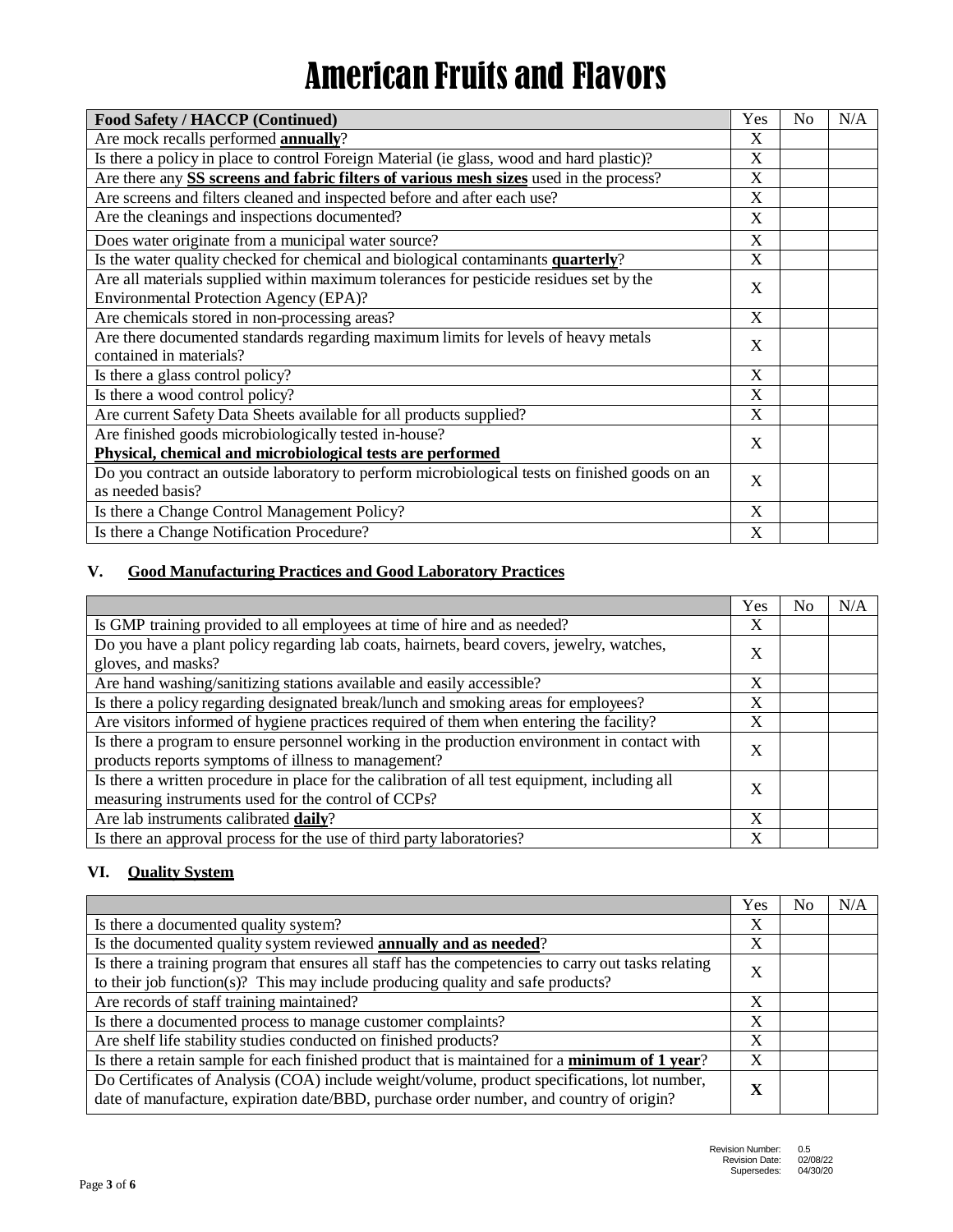| Food Safety / HACCP (Continued)                                                                                                  | Yes          | N <sub>o</sub> | N/A |
|----------------------------------------------------------------------------------------------------------------------------------|--------------|----------------|-----|
| Are mock recalls performed annually?                                                                                             | X            |                |     |
| Is there a policy in place to control Foreign Material (ie glass, wood and hard plastic)?                                        | $\mathbf{X}$ |                |     |
| Are there any SS screens and fabric filters of various mesh sizes used in the process?                                           | X            |                |     |
| Are screens and filters cleaned and inspected before and after each use?                                                         | X            |                |     |
| Are the cleanings and inspections documented?                                                                                    | X            |                |     |
| Does water originate from a municipal water source?                                                                              | X            |                |     |
| Is the water quality checked for chemical and biological contaminants quarterly?                                                 | X            |                |     |
| Are all materials supplied within maximum tolerances for pesticide residues set by the<br>Environmental Protection Agency (EPA)? | X            |                |     |
| Are chemicals stored in non-processing areas?                                                                                    | X            |                |     |
| Are there documented standards regarding maximum limits for levels of heavy metals<br>contained in materials?                    | X            |                |     |
| Is there a glass control policy?                                                                                                 | X            |                |     |
| Is there a wood control policy?                                                                                                  | X            |                |     |
| Are current Safety Data Sheets available for all products supplied?                                                              | X            |                |     |
| Are finished goods microbiologically tested in-house?                                                                            | X            |                |     |
| Physical, chemical and microbiological tests are performed                                                                       |              |                |     |
| Do you contract an outside laboratory to perform microbiological tests on finished goods on an<br>as needed basis?               | X            |                |     |
| Is there a Change Control Management Policy?                                                                                     | X            |                |     |
| Is there a Change Notification Procedure?                                                                                        | X            |                |     |

### **V. Good Manufacturing Practices and Good Laboratory Practices**

|                                                                                                                                                       | Yes | No | N/A |
|-------------------------------------------------------------------------------------------------------------------------------------------------------|-----|----|-----|
| Is GMP training provided to all employees at time of hire and as needed?                                                                              | X   |    |     |
| Do you have a plant policy regarding lab coats, hairnets, beard covers, jewelry, watches,<br>gloves, and masks?                                       | X   |    |     |
| Are hand washing/sanitizing stations available and easily accessible?                                                                                 | X   |    |     |
| Is there a policy regarding designated break/lunch and smoking areas for employees?                                                                   | X   |    |     |
| Are visitors informed of hygiene practices required of them when entering the facility?                                                               | X   |    |     |
| Is there a program to ensure personnel working in the production environment in contact with<br>products reports symptoms of illness to management?   | X   |    |     |
| Is there a written procedure in place for the calibration of all test equipment, including all<br>measuring instruments used for the control of CCPs? | X   |    |     |
| Are lab instruments calibrated daily?                                                                                                                 | X   |    |     |
| Is there an approval process for the use of third party laboratories?                                                                                 | X   |    |     |

#### **VI. Quality System**

|                                                                                                                                                                                         | Yes | No. | N/A |
|-----------------------------------------------------------------------------------------------------------------------------------------------------------------------------------------|-----|-----|-----|
| Is there a documented quality system?                                                                                                                                                   | X   |     |     |
| Is the documented quality system reviewed <b>annually and as needed</b> ?                                                                                                               | X   |     |     |
| Is there a training program that ensures all staff has the competencies to carry out tasks relating<br>to their job function(s)? This may include producing quality and safe products?  | X   |     |     |
| Are records of staff training maintained?                                                                                                                                               | X   |     |     |
| Is there a documented process to manage customer complaints?                                                                                                                            | X   |     |     |
| Are shelf life stability studies conducted on finished products?                                                                                                                        | X   |     |     |
| Is there a retain sample for each finished product that is maintained for a <b>minimum of 1 year</b> ?                                                                                  | X   |     |     |
| Do Certificates of Analysis (COA) include weight/volume, product specifications, lot number,<br>date of manufacture, expiration date/BBD, purchase order number, and country of origin? | л   |     |     |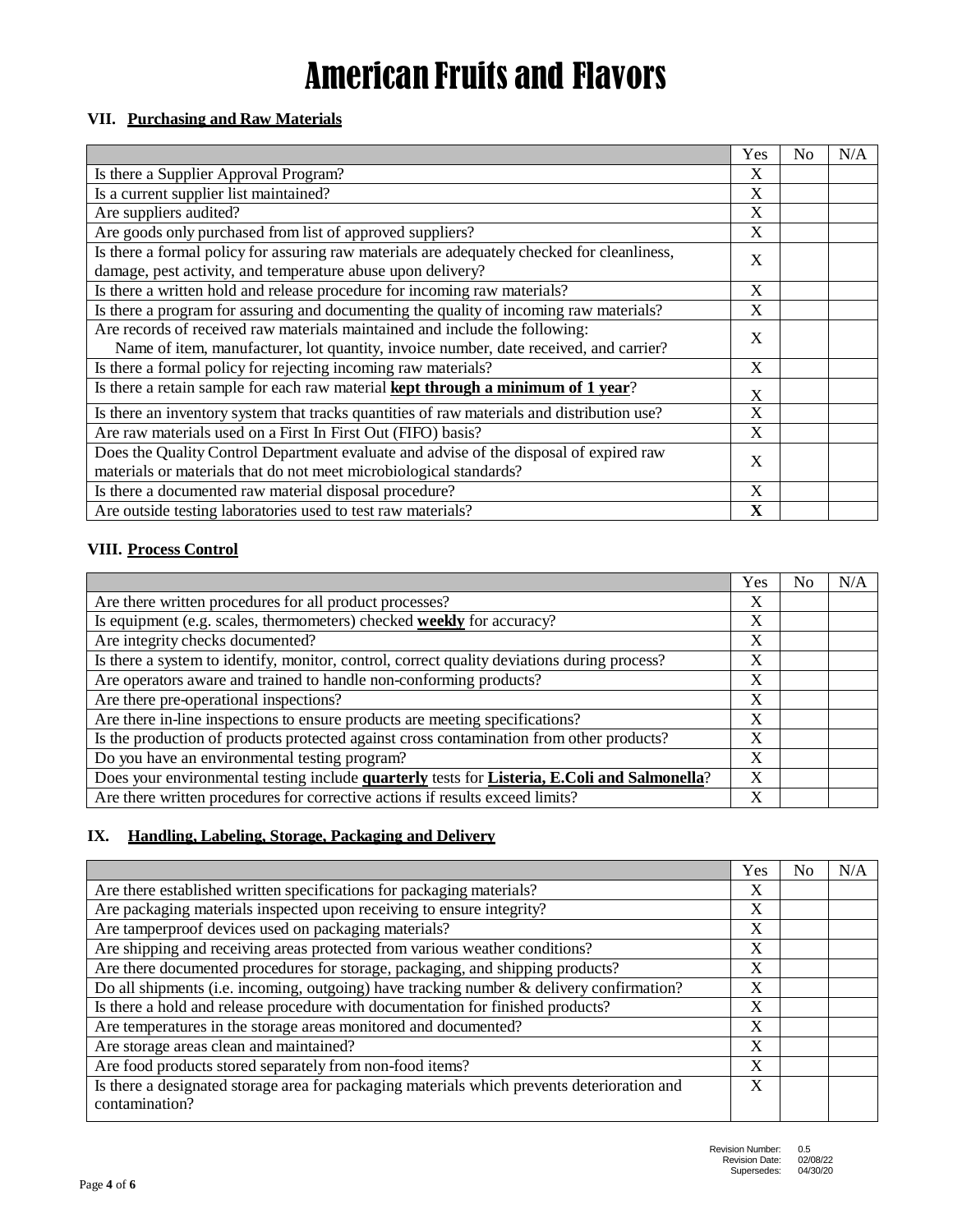#### **VII. Purchasing and Raw Materials**

|                                                                                                                                                                      | Yes          | No | N/A |
|----------------------------------------------------------------------------------------------------------------------------------------------------------------------|--------------|----|-----|
| Is there a Supplier Approval Program?                                                                                                                                | X            |    |     |
| Is a current supplier list maintained?                                                                                                                               | X            |    |     |
| Are suppliers audited?                                                                                                                                               | X            |    |     |
| Are goods only purchased from list of approved suppliers?                                                                                                            | X            |    |     |
| Is there a formal policy for assuring raw materials are adequately checked for cleanliness,<br>damage, pest activity, and temperature abuse upon delivery?           | X            |    |     |
| Is there a written hold and release procedure for incoming raw materials?                                                                                            | X            |    |     |
| Is there a program for assuring and documenting the quality of incoming raw materials?                                                                               | $\mathbf{X}$ |    |     |
| Are records of received raw materials maintained and include the following:<br>Name of item, manufacturer, lot quantity, invoice number, date received, and carrier? | X            |    |     |
| Is there a formal policy for rejecting incoming raw materials?                                                                                                       | X            |    |     |
| Is there a retain sample for each raw material kept through a minimum of 1 year?                                                                                     | X            |    |     |
| Is there an inventory system that tracks quantities of raw materials and distribution use?                                                                           | $\mathbf{X}$ |    |     |
| Are raw materials used on a First In First Out (FIFO) basis?                                                                                                         | X            |    |     |
| Does the Quality Control Department evaluate and advise of the disposal of expired raw<br>materials or materials that do not meet microbiological standards?         | X            |    |     |
| Is there a documented raw material disposal procedure?                                                                                                               | X            |    |     |
| Are outside testing laboratories used to test raw materials?                                                                                                         | X            |    |     |

#### **VIII. Process Control**

|                                                                                              | Yes | No | N/A |
|----------------------------------------------------------------------------------------------|-----|----|-----|
| Are there written procedures for all product processes?                                      | X   |    |     |
| Is equipment (e.g. scales, thermometers) checked <b>weekly</b> for accuracy?                 | X   |    |     |
| Are integrity checks documented?                                                             | X   |    |     |
| Is there a system to identify, monitor, control, correct quality deviations during process?  | X   |    |     |
| Are operators aware and trained to handle non-conforming products?                           | X   |    |     |
| Are there pre-operational inspections?                                                       | X   |    |     |
| Are there in-line inspections to ensure products are meeting specifications?                 | X   |    |     |
| Is the production of products protected against cross contamination from other products?     | X   |    |     |
| Do you have an environmental testing program?                                                | X   |    |     |
| Does your environmental testing include quarterly tests for Listeria, E.Coli and Salmonella? | X   |    |     |
| Are there written procedures for corrective actions if results exceed limits?                | X   |    |     |

### **IX. Handling, Labeling, Storage, Packaging and Delivery**

|                                                                                             | Yes | N <sub>0</sub> | N/A |
|---------------------------------------------------------------------------------------------|-----|----------------|-----|
| Are there established written specifications for packaging materials?                       | X   |                |     |
| Are packaging materials inspected upon receiving to ensure integrity?                       | X   |                |     |
| Are tamperproof devices used on packaging materials?                                        | X   |                |     |
| Are shipping and receiving areas protected from various weather conditions?                 | X   |                |     |
| Are there documented procedures for storage, packaging, and shipping products?              | X   |                |     |
| Do all shipments (i.e. incoming, outgoing) have tracking number & delivery confirmation?    | X   |                |     |
| Is there a hold and release procedure with documentation for finished products?             | X   |                |     |
| Are temperatures in the storage areas monitored and documented?                             | X   |                |     |
| Are storage areas clean and maintained?                                                     | X   |                |     |
| Are food products stored separately from non-food items?                                    | X   |                |     |
| Is there a designated storage area for packaging materials which prevents deterioration and | X   |                |     |
| contamination?                                                                              |     |                |     |
|                                                                                             |     |                |     |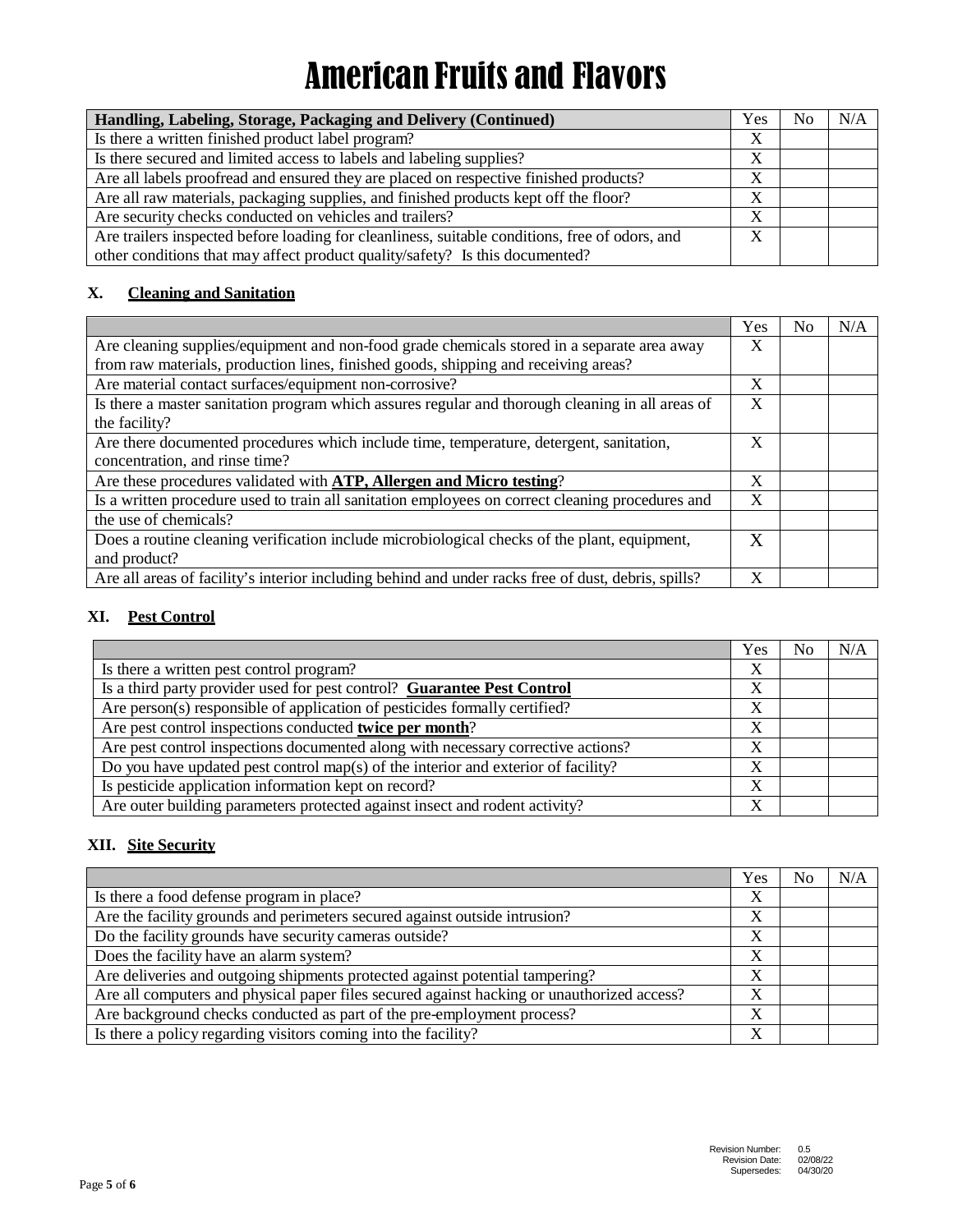| Handling, Labeling, Storage, Packaging and Delivery (Continued)                                | Yes | No | N/A |
|------------------------------------------------------------------------------------------------|-----|----|-----|
| Is there a written finished product label program?                                             | X   |    |     |
| Is there secured and limited access to labels and labeling supplies?                           | X   |    |     |
| Are all labels proofread and ensured they are placed on respective finished products?          | X   |    |     |
| Are all raw materials, packaging supplies, and finished products kept off the floor?           | X   |    |     |
| Are security checks conducted on vehicles and trailers?                                        | X   |    |     |
| Are trailers inspected before loading for cleanliness, suitable conditions, free of odors, and | X   |    |     |
| other conditions that may affect product quality/safety? Is this documented?                   |     |    |     |

### **X. Cleaning and Sanitation**

|                                                                                                     | Yes | No | N/A |
|-----------------------------------------------------------------------------------------------------|-----|----|-----|
| Are cleaning supplies/equipment and non-food grade chemicals stored in a separate area away         | X   |    |     |
| from raw materials, production lines, finished goods, shipping and receiving areas?                 |     |    |     |
| Are material contact surfaces/equipment non-corrosive?                                              | X   |    |     |
| Is there a master sanitation program which assures regular and thorough cleaning in all areas of    | X   |    |     |
| the facility?                                                                                       |     |    |     |
| Are there documented procedures which include time, temperature, detergent, sanitation,             | X   |    |     |
| concentration, and rinse time?                                                                      |     |    |     |
| Are these procedures validated with ATP, Allergen and Micro testing?                                | X   |    |     |
| Is a written procedure used to train all sanitation employees on correct cleaning procedures and    | X   |    |     |
| the use of chemicals?                                                                               |     |    |     |
| Does a routine cleaning verification include microbiological checks of the plant, equipment,        | X   |    |     |
| and product?                                                                                        |     |    |     |
| Are all areas of facility's interior including behind and under racks free of dust, debris, spills? | X   |    |     |

### **XI. Pest Control**

|                                                                                   | Yes         | No | N/A |
|-----------------------------------------------------------------------------------|-------------|----|-----|
| Is there a written pest control program?                                          | X           |    |     |
| Is a third party provider used for pest control? Guarantee Pest Control           | v           |    |     |
| Are person(s) responsible of application of pesticides formally certified?        | $\mathbf v$ |    |     |
| Are pest control inspections conducted twice per month?                           | X           |    |     |
| Are pest control inspections documented along with necessary corrective actions?  | X           |    |     |
| Do you have updated pest control map(s) of the interior and exterior of facility? | X           |    |     |
| Is pesticide application information kept on record?                              | v           |    |     |
| Are outer building parameters protected against insect and rodent activity?       | v           |    |     |

### **XII. Site Security**

|                                                                                            | Yes | No | N/A |
|--------------------------------------------------------------------------------------------|-----|----|-----|
| Is there a food defense program in place?                                                  | X   |    |     |
| Are the facility grounds and perimeters secured against outside intrusion?                 | X   |    |     |
| Do the facility grounds have security cameras outside?                                     | X   |    |     |
| Does the facility have an alarm system?                                                    | X   |    |     |
| Are deliveries and outgoing shipments protected against potential tampering?               | X   |    |     |
| Are all computers and physical paper files secured against hacking or unauthorized access? | X   |    |     |
| Are background checks conducted as part of the pre-employment process?                     | X   |    |     |
| Is there a policy regarding visitors coming into the facility?                             | X   |    |     |